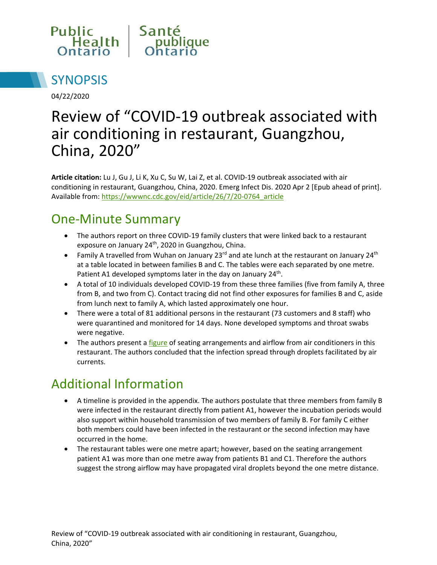



04/22/2020

# Review of "COVID-19 outbreak associated with air conditioning in restaurant, Guangzhou, China, 2020"

**Article citation:** Lu J, Gu J, Li K, Xu C, Su W, Lai Z, et al. COVID-19 outbreak associated with air conditioning in restaurant, Guangzhou, China, 2020. Emerg Infect Dis. 2020 Apr 2 [Epub ahead of print]. Available from: [https://wwwnc.cdc.gov/eid/article/26/7/20-0764\\_article](https://wwwnc.cdc.gov/eid/article/26/7/20-0764_article)

#### One-Minute Summary

- The authors report on three COVID-19 family clusters that were linked back to a restaurant exposure on January 24<sup>th</sup>, 2020 in Guangzhou, China.
- Family A travelled from Wuhan on January 23 $^{rd}$  and ate lunch at the restaurant on January 24<sup>th</sup> at a table located in between families B and C. The tables were each separated by one metre. Patient A1 developed symptoms later in the day on January 24<sup>th</sup>.
- A total of 10 individuals developed COVID-19 from these three families (five from family A, three from B, and two from C). Contact tracing did not find other exposures for families B and C, aside from lunch next to family A, which lasted approximately one hour.
- There were a total of 81 additional persons in the restaurant (73 customers and 8 staff) who were quarantined and monitored for 14 days. None developed symptoms and throat swabs were negative.
- The authors present [a figure](https://wwwnc.cdc.gov/eid/article/26/7/20-0764-f1) of seating arrangements and airflow from air conditioners in this restaurant. The authors concluded that the infection spread through droplets facilitated by air currents.

## Additional Information

- A timeline is provided in the appendix. The authors postulate that three members from family B were infected in the restaurant directly from patient A1, however the incubation periods would also support within household transmission of two members of family B. For family C either both members could have been infected in the restaurant or the second infection may have occurred in the home.
- The restaurant tables were one metre apart; however, based on the seating arrangement patient A1 was more than one metre away from patients B1 and C1. Therefore the authors suggest the strong airflow may have propagated viral droplets beyond the one metre distance.